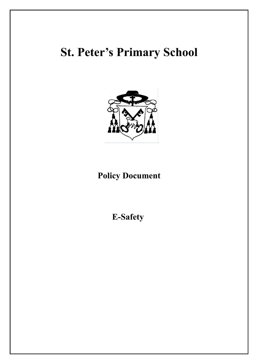# **St. Peter's Primary School**



# **Policy Document**

**E-Safety**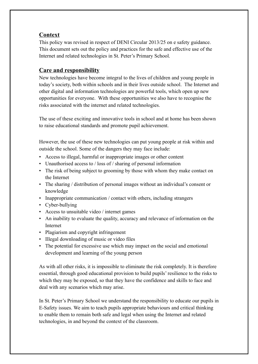# **Context**

This policy was revised in respect of DENI Circular 2013/25 on e safety guidance. This document sets out the policy and practices for the safe and effective use of the Internet and related technologies in St. Peter's Primary School.

# **Care and responsibility**

New technologies have become integral to the lives of children and young people in today's society, both within schools and in their lives outside school. The Internet and other digital and information technologies are powerful tools, which open up new opportunities for everyone. With these opportunities we also have to recognise the risks associated with the internet and related technologies.

The use of these exciting and innovative tools in school and at home has been shown to raise educational standards and promote pupil achievement.

However, the use of these new technologies can put young people at risk within and outside the school. Some of the dangers they may face include:

- Access to illegal, harmful or inappropriate images or other content
- Unauthorised access to / loss of / sharing of personal information
- The risk of being subject to grooming by those with whom they make contact on the Internet
- The sharing / distribution of personal images without an individual's consent or knowledge
- Inappropriate communication / contact with others, including strangers
- Cyber-bullying
- Access to unsuitable video / internet games
- An inability to evaluate the quality, accuracy and relevance of information on the Internet
- Plagiarism and copyright infringement
- Illegal downloading of music or video files
- The potential for excessive use which may impact on the social and emotional development and learning of the young person

As with all other risks, it is impossible to eliminate the risk completely. It is therefore essential, through good educational provision to build pupils' resilience to the risks to which they may be exposed, so that they have the confidence and skills to face and deal with any scenarios which may arise.

In St. Peter's Primary School we understand the responsibility to educate our pupils in E-Safety issues. We aim to teach pupils appropriate behaviours and critical thinking to enable them to remain both safe and legal when using the Internet and related technologies, in and beyond the context of the classroom.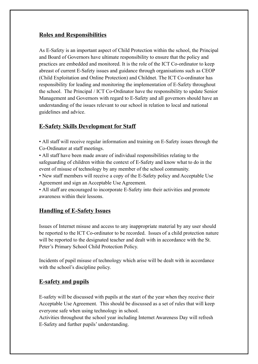# **Roles and Responsibilities**

As E-Safety is an important aspect of Child Protection within the school, the Principal and Board of Governors have ultimate responsibility to ensure that the policy and practices are embedded and monitored. It is the role of the ICT Co-ordinator to keep abreast of current E-Safety issues and guidance through organisations such as CEOP (Child Exploitation and Online Protection) and Childnet. The ICT Co-ordinator has responsibility for leading and monitoring the implementation of E-Safety throughout the school. The Principal / ICT Co-Ordinator have the responsibility to update Senior Management and Governors with regard to E-Safety and all governors should have an understanding of the issues relevant to our school in relation to local and national guidelines and advice.

# **E-Safety Skills Development for Staff**

• All staff will receive regular information and training on E-Safety issues through the Co-Ordinator at staff meetings.

• All staff have been made aware of individual responsibilities relating to the safeguarding of children within the context of E-Safety and know what to do in the event of misuse of technology by any member of the school community.

• New staff members will receive a copy of the E-Safety policy and Acceptable Use Agreement and sign an Acceptable Use Agreement.

• All staff are encouraged to incorporate E-Safety into their activities and promote awareness within their lessons.

#### **Handling of E-Safety Issues**

Issues of Internet misuse and access to any inappropriate material by any user should be reported to the ICT Co-ordinator to be recorded. Issues of a child protection nature will be reported to the designated teacher and dealt with in accordance with the St. Peter's Primary School Child Protection Policy.

Incidents of pupil misuse of technology which arise will be dealt with in accordance with the school's discipline policy.

#### **E-safety and pupils**

E-safety will be discussed with pupils at the start of the year when they receive their Acceptable Use Agreement. This should be discussed as a set of rules that will keep everyone safe when using technology in school.

Activities throughout the school year including Internet Awareness Day will refresh E-Safety and further pupils' understanding.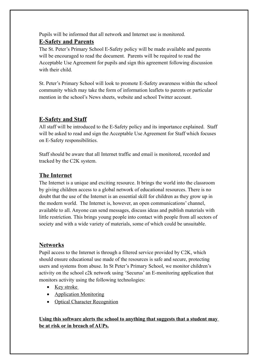Pupils will be informed that all network and Internet use is monitored.

# **E-Safety and Parents**

The St. Peter's Primary School E-Safety policy will be made available and parents will be encouraged to read the document. Parents will be required to read the Acceptable Use Agreement for pupils and sign this agreement following discussion with their child.

St. Peter's Primary School will look to promote E-Safety awareness within the school community which may take the form of information leaflets to parents or particular mention in the school's News sheets, website and school Twitter account.

# **E-Safety and Staff**

All staff will be introduced to the E-Safety policy and its importance explained. Staff will be asked to read and sign the Acceptable Use Agreement for Staff which focuses on E-Safety responsibilities.

Staff should be aware that all Internet traffic and email is monitored, recorded and tracked by the C2K system.

# **The Internet**

The Internet is a unique and exciting resource. It brings the world into the classroom by giving children access to a global network of educational resources. There is no doubt that the use of the Internet is an essential skill for children as they grow up in the modern world. The Internet is, however, an open communications' channel, available to all. Anyone can send messages, discuss ideas and publish materials with little restriction. This brings young people into contact with people from all sectors of society and with a wide variety of materials, some of which could be unsuitable.

# **Networks**

Pupil access to the Internet is through a filtered service provided by C2K, which should ensure educational use made of the resources is safe and secure, protecting users and systems from abuse. In St Peter's Primary School, we monitor children's activity on the school c2k network using 'Securus' an E-monitoring application that monitors activity using the following technologies:

- Key stroke
- Application Monitoring
- Optical Character Recognition

**Using this software alerts the school to anything that suggests that a student may be at risk or in breach of AUPs.**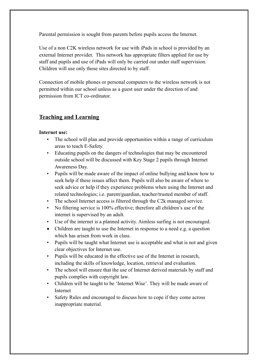Parental permission is sought from parents before pupils access the Internet.

Use of a non C2K wireless network for use with iPads in school is provided by an external Internet provider. This network has appropriate filters applied for use by staff and pupils and use of iPads will only be carried out under staff supervision. Children will use only those sites directed to by staff.

Connection of mobile phones or personal computers to the wireless network is not permitted within our school unless as a guest user under the direction of and permission from ICT co-ordinator.

#### **Teaching and Learning**

#### **Internet use:**

- The school will plan and provide opportunities within a range of curriculum areas to teach E-Safety.
- Educating pupils on the dangers of technologies that may be encountered outside school will be discussed with Key Stage 2 pupils through Internet Awareness Day.
- Pupils will be made aware of the impact of online bullying and know how to seek help if these issues affect them. Pupils will also be aware of where to seek advice or help if they experience problems when using the Internet and related technologies; i.e. parent/guardian, teacher/trusted member of staff.
- The school Internet access is filtered through the C2k managed service.
- No filtering service is 100% effective; therefore all children's use of the internet is supervised by an adult.
- Use of the internet is a planned activity. Aimless surfing is not encouraged.
- Children are taught to use the Internet in response to a need e.g. a question which has arisen from work in class.
- Pupils will be taught what Internet use is acceptable and what is not and given clear objectives for Internet use.
- Pupils will be educated in the effective use of the Internet in research, including the skills of knowledge, location, retrieval and evaluation.
- The school will ensure that the use of Internet derived materials by staff and pupils complies with copyright law.
- Children will be taught to be 'Internet Wise'. They will be made aware of Internet
- Safety Rules and encouraged to discuss how to cope if they come across inappropriate material.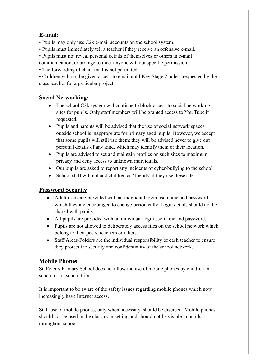# **E-mail:**

- Pupils may only use C2k e-mail accounts on the school system.
- Pupils must immediately tell a teacher if they receive an offensive e-mail.
- Pupils must not reveal personal details of themselves or others in e-mail
- communication, or arrange to meet anyone without specific permission.
- The forwarding of chain mail is not permitted.

• Children will not be given access to email until Key Stage 2 unless requested by the class teacher for a particular project.

# **Social Networking:**

- The school C2k system will continue to block access to social networking sites for pupils. Only staff members will be granted access to You Tube if requested.
- Pupils and parents will be advised that the use of social network spaces outside school is inappropriate for primary aged pupils. However, we accept that some pupils will still use them; they will be advised never to give out personal details of any kind, which may identify them or their location.
- Pupils are advised to set and maintain profiles on such sites to maximum privacy and deny access to unknown individuals.
- Our pupils are asked to report any incidents of cyber-bullying to the school.
- School staff will not add children as 'friends' if they use these sites.

# **Password Security**

- Adult users are provided with an individual login username and password, which they are encouraged to change periodically. Login details should not be shared with pupils.
- All pupils are provided with an individual login username and password.
- Pupils are not allowed to deliberately access files on the school network which belong to their peers, teachers or others.
- Staff Areas/Folders are the individual responsibility of each teacher to ensure they protect the security and confidentiality of the school network.

# **Mobile Phones**

St. Peter's Primary School does not allow the use of mobile phones by children in school or on school trips.

It is important to be aware of the safety issues regarding mobile phones which now increasingly have Internet access.

Staff use of mobile phones, only when necessary, should be discreet. Mobile phones should not be used in the classroom setting and should not be visible to pupils throughout school.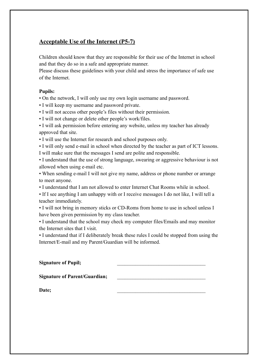# **Acceptable Use of the Internet (P5-7)**

Children should know that they are responsible for their use of the Internet in school and that they do so in a safe and appropriate manner.

Please discuss these guidelines with your child and stress the importance of safe use of the Internet.

#### **Pupils:**

• On the network, I will only use my own login username and password.

- I will keep my username and password private.
- I will not access other people's files without their permission.
- I will not change or delete other people's work/files.
- I will ask permission before entering any website, unless my teacher has already approved that site.
- I will use the Internet for research and school purposes only.

• I will only send e-mail in school when directed by the teacher as part of ICT lessons. I will make sure that the messages I send are polite and responsible.

• I understand that the use of strong language, swearing or aggressive behaviour is not allowed when using e-mail etc.

• When sending e-mail I will not give my name, address or phone number or arrange to meet anyone.

• I understand that I am not allowed to enter Internet Chat Rooms while in school.

• If I see anything I am unhappy with or I receive messages I do not like, I will tell a teacher immediately.

• I will not bring in memory sticks or CD-Roms from home to use in school unless I have been given permission by my class teacher.

• I understand that the school may check my computer files/Emails and may monitor the Internet sites that I visit.

• I understand that if I deliberately break these rules I could be stopped from using the Internet/E-mail and my Parent/Guardian will be informed.

| <b>Signature of Pupil;</b>           |  |
|--------------------------------------|--|
| <b>Signature of Parent/Guardian;</b> |  |

Date;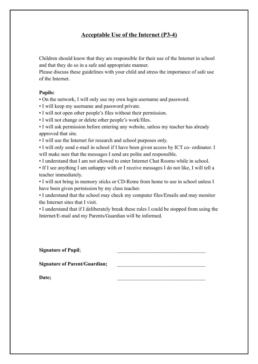# **Acceptable Use of the Internet (P3-4)**

Children should know that they are responsible for their use of the Internet in school and that they do so in a safe and appropriate manner.

Please discuss these guidelines with your child and stress the importance of safe use of the Internet.

#### **Pupils:**

• On the network, I will only use my own login username and password.

• I will keep my username and password private.

• I will not open other people's files without their permission.

• I will not change or delete other people's work/files.

• I will ask permission before entering any website, unless my teacher has already approved that site.

• I will use the Internet for research and school purposes only.

• I will only send e-mail in school if I have been given access by ICT co- ordinator. I will make sure that the messages I send are polite and responsible.

• I understand that I am not allowed to enter Internet Chat Rooms while in school.

• If I see anything I am unhappy with or I receive messages I do not like, I will tell a teacher immediately.

• I will not bring in memory sticks or CD-Roms from home to use in school unless I have been given permission by my class teacher.

• I understand that the school may check my computer files/Emails and may monitor the Internet sites that I visit.

• I understand that if I deliberately break these rules I could be stopped from using the Internet/E-mail and my Parents/Guardian will be informed.

Signature of Pupil;

Signature of Parent/Guardian;

Date;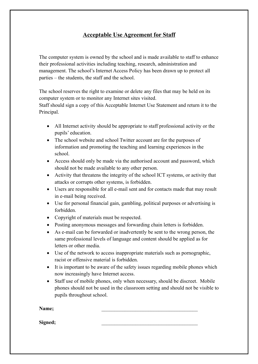# **Acceptable Use Agreement for Staff**

The computer system is owned by the school and is made available to staff to enhance their professional activities including teaching, research, administration and management. The school's Internet Access Policy has been drawn up to protect all parties – the students, the staff and the school.

The school reserves the right to examine or delete any files that may be held on its computer system or to monitor any Internet sites visited.

Staff should sign a copy of this Acceptable Internet Use Statement and return it to the Principal.

- All Internet activity should be appropriate to staff professional activity or the pupils' education.
- The school website and school Twitter account are for the purposes of information and promoting the teaching and learning experiences in the school.
- Access should only be made via the authorised account and password, which should not be made available to any other person.
- Activity that threatens the integrity of the school ICT systems, or activity that attacks or corrupts other systems, is forbidden.
- Users are responsible for all e-mail sent and for contacts made that may result in e-mail being received.
- Use for personal financial gain, gambling, political purposes or advertising is forbidden.
- Copyright of materials must be respected.
- Posting anonymous messages and forwarding chain letters is forbidden.
- As e-mail can be forwarded or inadvertently be sent to the wrong person, the same professional levels of language and content should be applied as for letters or other media.
- Use of the network to access inappropriate materials such as pornographic, racist or offensive material is forbidden.
- It is important to be aware of the safety issues regarding mobile phones which now increasingly have Internet access.
- Staff use of mobile phones, only when necessary, should be discreet. Mobile phones should not be used in the classroom setting and should not be visible to pupils throughout school.

**Name;**  $\blacksquare$ 

**Signed;** \_\_\_\_\_\_\_\_\_\_\_\_\_\_\_\_\_\_\_\_\_\_\_\_\_\_\_\_\_\_\_\_\_\_\_\_\_